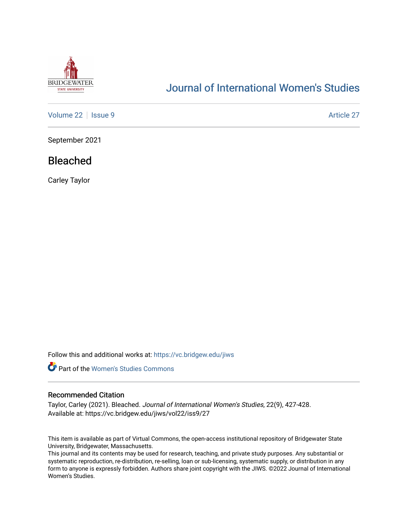

# [Journal of International Women's Studies](https://vc.bridgew.edu/jiws)

[Volume 22](https://vc.bridgew.edu/jiws/vol22) | [Issue 9](https://vc.bridgew.edu/jiws/vol22/iss9) [Article 27](https://vc.bridgew.edu/jiws/vol22/iss9/27) | Article 27 | Article 27 | Article 27 | Article 27 | Article 27 | Article 27 | Article 27 | Article 27 | Article 27 | Article 27 | Article 27 | Article 27 | Article 27 | Article 27 | Article

September 2021

## Bleached

Carley Taylor

Follow this and additional works at: [https://vc.bridgew.edu/jiws](https://vc.bridgew.edu/jiws?utm_source=vc.bridgew.edu%2Fjiws%2Fvol22%2Fiss9%2F27&utm_medium=PDF&utm_campaign=PDFCoverPages)



## Recommended Citation

Taylor, Carley (2021). Bleached. Journal of International Women's Studies, 22(9), 427-428. Available at: https://vc.bridgew.edu/jiws/vol22/iss9/27

This item is available as part of Virtual Commons, the open-access institutional repository of Bridgewater State University, Bridgewater, Massachusetts.

This journal and its contents may be used for research, teaching, and private study purposes. Any substantial or systematic reproduction, re-distribution, re-selling, loan or sub-licensing, systematic supply, or distribution in any form to anyone is expressly forbidden. Authors share joint copyright with the JIWS. ©2022 Journal of International Women's Studies.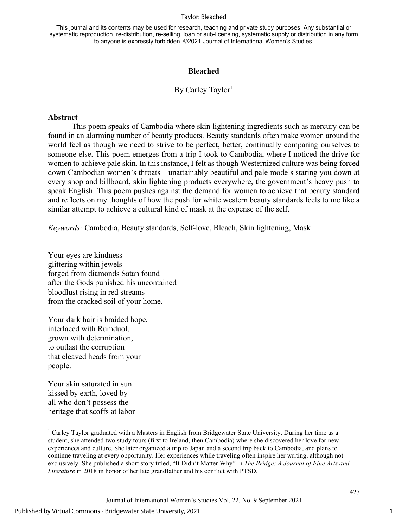#### Taylor: Bleached

This journal and its contents may be used for research, teaching and private study purposes. Any substantial or systematic reproduction, re-distribution, re-selling, loan or sub-licensing, systematic supply or distribution in any form to anyone is expressly forbidden. ©2021 Journal of International Women's Studies.

## **Bleached**

## By Carley Taylor<sup>[1](#page-1-0)</sup>

### **Abstract**

This poem speaks of Cambodia where skin lightening ingredients such as mercury can be found in an alarming number of beauty products. Beauty standards often make women around the world feel as though we need to strive to be perfect, better, continually comparing ourselves to someone else. This poem emerges from a trip I took to Cambodia, where I noticed the drive for women to achieve pale skin. In this instance, I felt as though Westernized culture was being forced down Cambodian women's throats—unattainably beautiful and pale models staring you down at every shop and billboard, skin lightening products everywhere, the government's heavy push to speak English. This poem pushes against the demand for women to achieve that beauty standard and reflects on my thoughts of how the push for white western beauty standards feels to me like a similar attempt to achieve a cultural kind of mask at the expense of the self.

*Keywords:* Cambodia, Beauty standards, Self-love, Bleach, Skin lightening, Mask

Your eyes are kindness glittering within jewels forged from diamonds Satan found after the Gods punished his uncontained bloodlust rising in red streams from the cracked soil of your home.

Your dark hair is braided hope, interlaced with Rumduol, grown with determination, to outlast the corruption that cleaved heads from your people.

Your skin saturated in sun kissed by earth, loved by all who don't possess the heritage that scoffs at labor

1

427

<span id="page-1-0"></span><sup>1</sup> Carley Taylor graduated with a Masters in English from Bridgewater State University. During her time as a student, she attended two study tours (first to Ireland, then Cambodia) where she discovered her love for new experiences and culture. She later organized a trip to Japan and a second trip back to Cambodia, and plans to continue traveling at every opportunity. Her experiences while traveling often inspire her writing, although not exclusively. She published a short story titled, "It Didn't Matter Why" in *The Bridge: A Journal of Fine Arts and Literature* in 2018 in honor of her late grandfather and his conflict with PTSD.